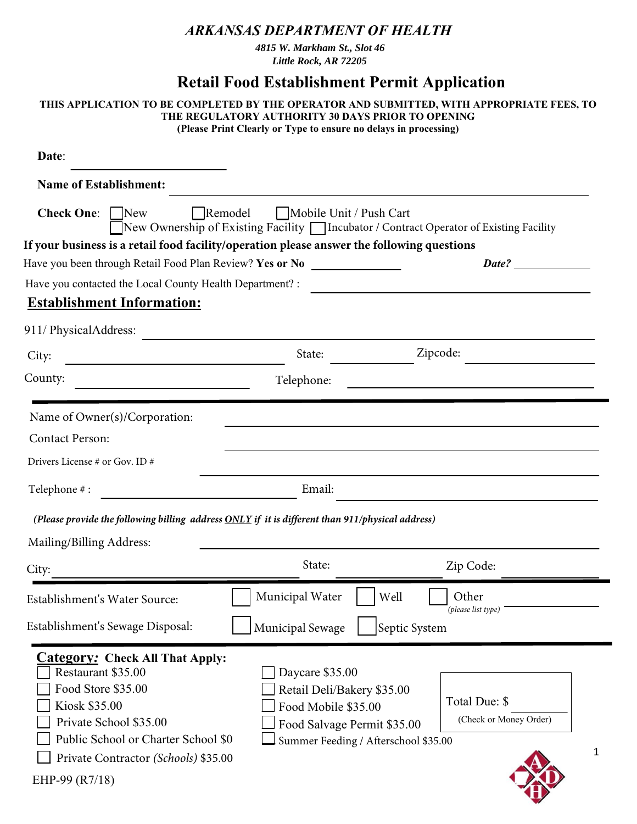## *ARKANSAS DEPARTMENT OF HEALTH*

*4815 W. Markham St., Slot 46 Little Rock, AR 72205* 

## **Retail Food Establishment Permit Application**

| THIS APPLICATION TO BE COMPLETED BY THE OPERATOR AND SUBMITTED, WITH APPROPRIATE FEES, TO<br>THE REGULATORY AUTHORITY 30 DAYS PRIOR TO OPENING<br>(Please Print Clearly or Type to ensure no delays in processing)              |                                                                                                                                             |                                                                                         |  |  |  |
|---------------------------------------------------------------------------------------------------------------------------------------------------------------------------------------------------------------------------------|---------------------------------------------------------------------------------------------------------------------------------------------|-----------------------------------------------------------------------------------------|--|--|--|
| Date:                                                                                                                                                                                                                           |                                                                                                                                             |                                                                                         |  |  |  |
| <b>Name of Establishment:</b>                                                                                                                                                                                                   |                                                                                                                                             |                                                                                         |  |  |  |
| <b>Check One:</b> New                                                                                                                                                                                                           | Remodel   Mobile Unit / Push Cart                                                                                                           | New Ownership of Existing Facility   Incubator / Contract Operator of Existing Facility |  |  |  |
| If your business is a retail food facility/operation please answer the following questions<br>Have you been through Retail Food Plan Review? Yes or No                                                                          |                                                                                                                                             | Date?                                                                                   |  |  |  |
| Have you contacted the Local County Health Department? :                                                                                                                                                                        |                                                                                                                                             |                                                                                         |  |  |  |
| <b>Establishment Information:</b>                                                                                                                                                                                               |                                                                                                                                             |                                                                                         |  |  |  |
|                                                                                                                                                                                                                                 |                                                                                                                                             |                                                                                         |  |  |  |
| 911/ PhysicalAddress:                                                                                                                                                                                                           |                                                                                                                                             |                                                                                         |  |  |  |
| City:                                                                                                                                                                                                                           | State:                                                                                                                                      | Zipcode:                                                                                |  |  |  |
| County:                                                                                                                                                                                                                         | Telephone:                                                                                                                                  |                                                                                         |  |  |  |
| Name of Owner(s)/Corporation:                                                                                                                                                                                                   |                                                                                                                                             |                                                                                         |  |  |  |
| <b>Contact Person:</b>                                                                                                                                                                                                          |                                                                                                                                             |                                                                                         |  |  |  |
| Drivers License # or Gov. ID #                                                                                                                                                                                                  |                                                                                                                                             |                                                                                         |  |  |  |
| Telephone #:                                                                                                                                                                                                                    | Email:                                                                                                                                      |                                                                                         |  |  |  |
| (Please provide the following billing address $\overline{ONLY}$ if it is different than 911/physical address)                                                                                                                   |                                                                                                                                             |                                                                                         |  |  |  |
| Mailing/Billing Address:                                                                                                                                                                                                        |                                                                                                                                             |                                                                                         |  |  |  |
| City:                                                                                                                                                                                                                           | State:                                                                                                                                      | Zip Code:                                                                               |  |  |  |
| Establishment's Water Source:                                                                                                                                                                                                   | Municipal Water                                                                                                                             | Other<br>Well<br>(please list type)                                                     |  |  |  |
| Establishment's Sewage Disposal:                                                                                                                                                                                                | Municipal Sewage                                                                                                                            | Septic System                                                                           |  |  |  |
| <b>Category: Check All That Apply:</b><br>Restaurant \$35.00<br>Food Store \$35.00<br>Kiosk \$35.00<br>Private School \$35.00<br>Public School or Charter School \$0<br>Private Contractor (Schools) \$35.00<br>EHP-99 (R11/21) | Daycare \$35.00<br>Retail Deli/Bakery \$35.00<br>Food Mobile \$35.00<br>Food Salvage Permit \$35.00<br>Summer Feeding / Afterschool \$35.00 | Total Due: \$<br>(Check or Money Order)<br>1                                            |  |  |  |

WEALTH